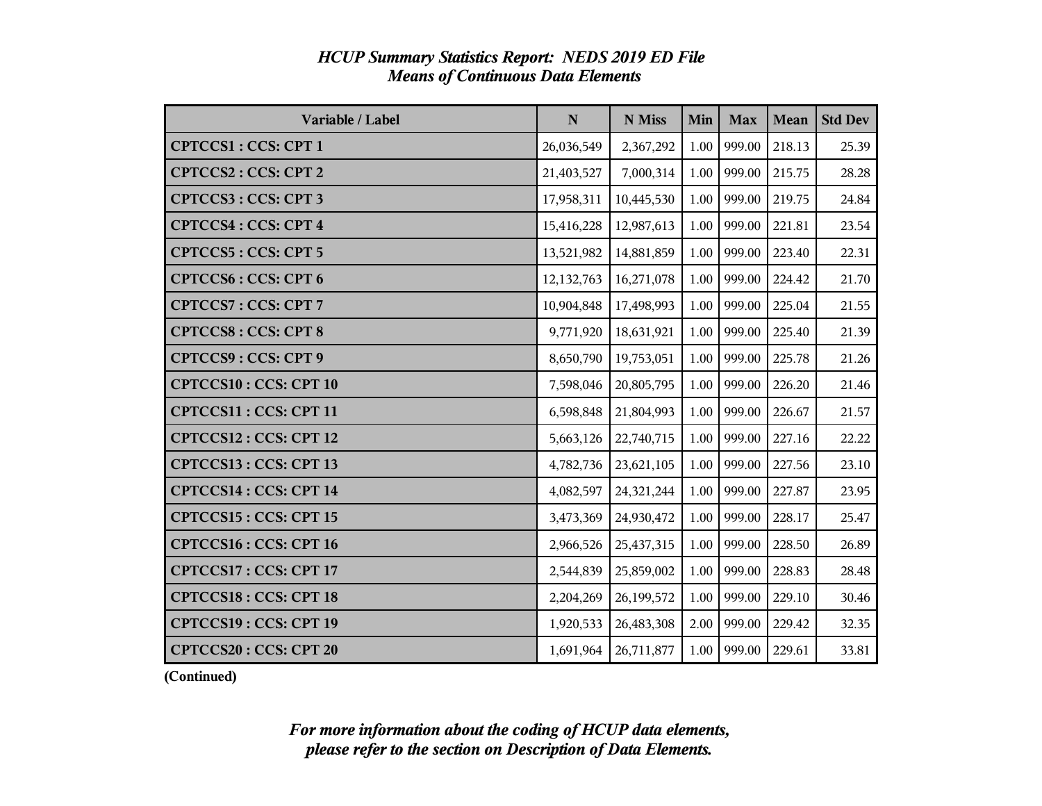| Variable / Label             | ${\bf N}$  | N Miss     | Min      | <b>Max</b> | <b>Mean</b> | <b>Std Dev</b> |
|------------------------------|------------|------------|----------|------------|-------------|----------------|
| <b>CPTCCS1: CCS: CPT1</b>    | 26,036,549 | 2,367,292  | 1.00     | 999.00     | 218.13      | 25.39          |
| CPTCCS2: CCS: CPT 2          | 21,403,527 | 7,000,314  | 1.00     | 999.00     | 215.75      | 28.28          |
| <b>CPTCCS3: CCS: CPT3</b>    | 17,958,311 | 10,445,530 | 1.00     | 999.00     | 219.75      | 24.84          |
| <b>CPTCCS4: CCS: CPT 4</b>   | 15,416,228 | 12,987,613 | 1.00     | 999.00     | 221.81      | 23.54          |
| <b>CPTCCS5: CCS: CPT 5</b>   | 13,521,982 | 14,881,859 | 1.00     | 999.00     | 223.40      | 22.31          |
| <b>CPTCCS6: CCS: CPT 6</b>   | 12,132,763 | 16,271,078 | 1.00     | 999.00     | 224.42      | 21.70          |
| <b>CPTCCS7: CCS: CPT 7</b>   | 10,904,848 | 17,498,993 | 1.00     | 999.00     | 225.04      | 21.55          |
| <b>CPTCCS8: CCS: CPT 8</b>   | 9,771,920  | 18,631,921 | 1.00     | 999.00     | 225.40      | 21.39          |
| CPTCCS9: CCS: CPT 9          | 8,650,790  | 19,753,051 | 1.00     | 999.00     | 225.78      | 21.26          |
| <b>CPTCCS10: CCS: CPT 10</b> | 7,598,046  | 20,805,795 | 1.00     | 999.00     | 226.20      | 21.46          |
| CPTCCS11 : CCS: CPT 11       | 6,598,848  | 21,804,993 | 1.00     | 999.00     | 226.67      | 21.57          |
| CPTCCS12: CCS: CPT 12        | 5,663,126  | 22,740,715 | 1.00     | 999.00     | 227.16      | 22.22          |
| CPTCCS13: CCS: CPT 13        | 4,782,736  | 23,621,105 | 1.00     | 999.00     | 227.56      | 23.10          |
| <b>CPTCCS14: CCS: CPT 14</b> | 4,082,597  | 24,321,244 | 1.00     | 999.00     | 227.87      | 23.95          |
| <b>CPTCCS15: CCS: CPT 15</b> | 3,473,369  | 24,930,472 | 1.00     | 999.00     | 228.17      | 25.47          |
| <b>CPTCCS16: CCS: CPT 16</b> | 2,966,526  | 25,437,315 | 1.00     | 999.00     | 228.50      | 26.89          |
| CPTCCS17: CCS: CPT 17        | 2,544,839  | 25,859,002 | 1.00     | 999.00     | 228.83      | 28.48          |
| <b>CPTCCS18: CCS: CPT 18</b> | 2,204,269  | 26,199,572 | $1.00\,$ | 999.00     | 229.10      | 30.46          |
| CPTCCS19: CCS: CPT 19        | 1,920,533  | 26,483,308 | 2.00     | 999.00     | 229.42      | 32.35          |
| <b>CPTCCS20: CCS: CPT 20</b> | 1,691,964  | 26,711,877 | 1.00     | 999.00     | 229.61      | 33.81          |

#### *HCUP Summary Statistics Report: NEDS 2019 ED File Means of Continuous Data Elements*

**(Continued)**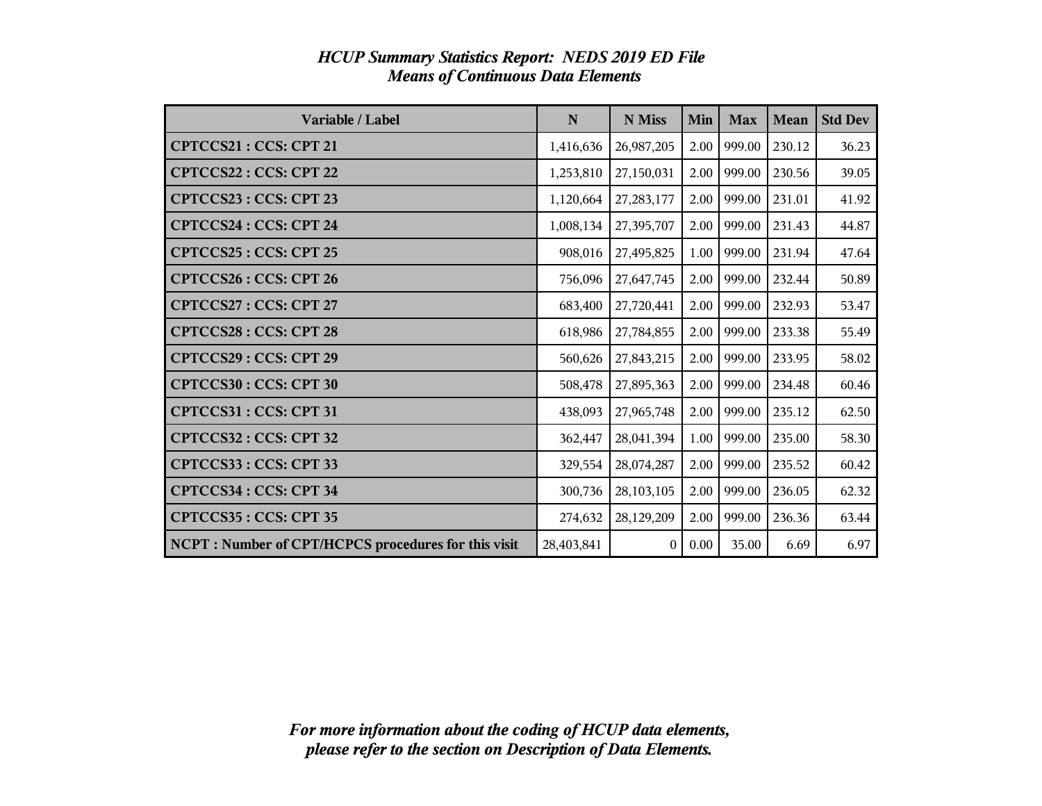| Variable / Label                                     | N          | N Miss       | Min  | <b>Max</b> | Mean   | <b>Std Dev</b> |
|------------------------------------------------------|------------|--------------|------|------------|--------|----------------|
| CPTCCS21: CCS: CPT 21                                | 1,416,636  | 26,987,205   | 2.00 | 999.00     | 230.12 | 36.23          |
| <b>CPTCCS22: CCS: CPT 22</b>                         | 1,253,810  | 27,150,031   | 2.00 | 999.00     | 230.56 | 39.05          |
| CPTCCS23: CCS: CPT 23                                | 1,120,664  | 27, 283, 177 | 2.00 | 999.00     | 231.01 | 41.92          |
| <b>CPTCCS24 : CCS: CPT 24</b>                        | 1,008,134  | 27,395,707   | 2.00 | 999.00     | 231.43 | 44.87          |
| CPTCCS25: CCS: CPT 25                                | 908,016    | 27,495,825   | 1.00 | 999.00     | 231.94 | 47.64          |
| <b>CPTCCS26: CCS: CPT 26</b>                         | 756,096    | 27,647,745   | 2.00 | 999.00     | 232.44 | 50.89          |
| CPTCCS27: CCS: CPT 27                                | 683,400    | 27,720,441   | 2.00 | 999.00     | 232.93 | 53.47          |
| <b>CPTCCS28: CCS: CPT 28</b>                         | 618,986    | 27,784,855   | 2.00 | 999.00     | 233.38 | 55.49          |
| CPTCCS29: CCS: CPT 29                                | 560,626    | 27,843,215   | 2.00 | 999.00     | 233.95 | 58.02          |
| CPTCCS30: CCS: CPT 30                                | 508,478    | 27,895,363   | 2.00 | 999.00     | 234.48 | 60.46          |
| CPTCCS31: CCS: CPT 31                                | 438,093    | 27,965,748   | 2.00 | 999.00     | 235.12 | 62.50          |
| CPTCCS32: CCS: CPT 32                                | 362,447    | 28,041,394   | 1.00 | 999.00     | 235.00 | 58.30          |
| CPTCCS33: CCS: CPT 33                                | 329,554    | 28,074,287   | 2.00 | 999.00     | 235.52 | 60.42          |
| CPTCCS34 : CCS: CPT 34                               | 300,736    | 28,103,105   | 2.00 | 999.00     | 236.05 | 62.32          |
| CPTCCS35: CCS: CPT 35                                | 274,632    | 28,129,209   | 2.00 | 999.00     | 236.36 | 63.44          |
| NCPT : Number of CPT/HCPCS procedures for this visit | 28,403,841 | $\mathbf{0}$ | 0.00 | 35.00      | 6.69   | 6.97           |

#### *HCUP Summary Statistics Report: NEDS 2019 ED File Means of Continuous Data Elements*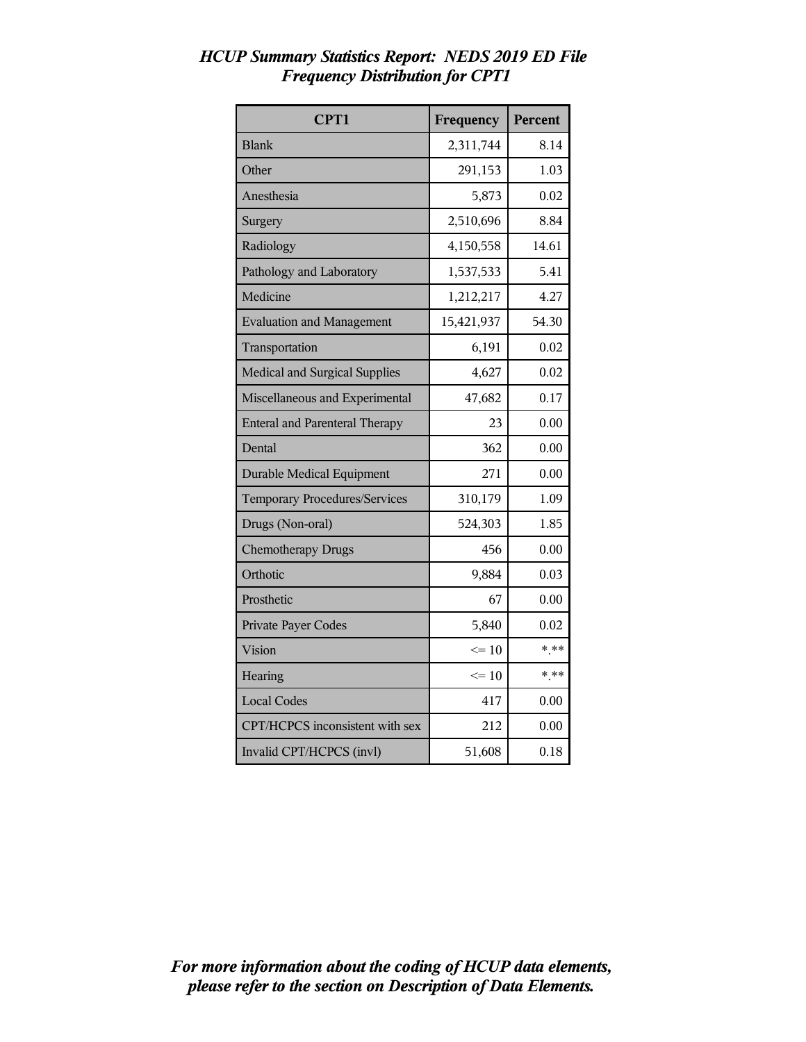| CPT1                                  | Frequency  | Percent |
|---------------------------------------|------------|---------|
| <b>Blank</b>                          | 2,311,744  | 8.14    |
| Other                                 | 291,153    | 1.03    |
| Anesthesia                            | 5,873      | 0.02    |
| Surgery                               | 2,510,696  | 8.84    |
| Radiology                             | 4,150,558  | 14.61   |
| Pathology and Laboratory              | 1,537,533  | 5.41    |
| Medicine                              | 1,212,217  | 4.27    |
| <b>Evaluation and Management</b>      | 15,421,937 | 54.30   |
| Transportation                        | 6,191      | 0.02    |
| Medical and Surgical Supplies         | 4,627      | 0.02    |
| Miscellaneous and Experimental        | 47,682     | 0.17    |
| <b>Enteral and Parenteral Therapy</b> | 23         | 0.00    |
| Dental                                | 362        | 0.00    |
| <b>Durable Medical Equipment</b>      | 271        | 0.00    |
| Temporary Procedures/Services         | 310,179    | 1.09    |
| Drugs (Non-oral)                      | 524,303    | 1.85    |
| <b>Chemotherapy Drugs</b>             | 456        | 0.00    |
| Orthotic                              | 9,884      | 0.03    |
| Prosthetic                            | 67         | 0.00    |
| Private Payer Codes                   | 5,840      | 0.02    |
| Vision                                | $\leq 10$  | $* * *$ |
| Hearing                               | $\leq 10$  | $*.**$  |
| <b>Local Codes</b>                    | 417        | 0.00    |
| CPT/HCPCS inconsistent with sex       | 212        | 0.00    |
| Invalid CPT/HCPCS (invl)              | 51,608     | 0.18    |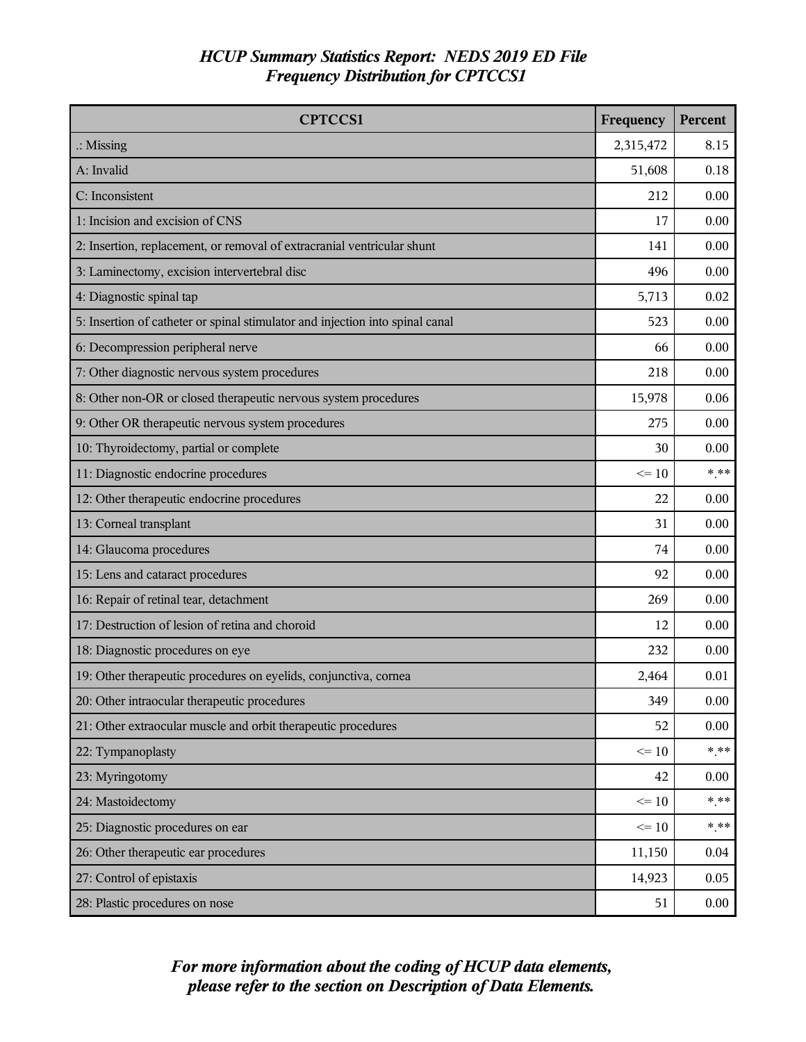| <b>CPTCCS1</b>                                                                | Frequency | Percent |
|-------------------------------------------------------------------------------|-----------|---------|
| $\therefore$ Missing                                                          | 2,315,472 | 8.15    |
| A: Invalid                                                                    | 51,608    | 0.18    |
| C: Inconsistent                                                               | 212       | 0.00    |
| 1: Incision and excision of CNS                                               | 17        | 0.00    |
| 2: Insertion, replacement, or removal of extracranial ventricular shunt       | 141       | 0.00    |
| 3: Laminectomy, excision intervertebral disc                                  | 496       | 0.00    |
| 4: Diagnostic spinal tap                                                      | 5,713     | 0.02    |
| 5: Insertion of catheter or spinal stimulator and injection into spinal canal | 523       | 0.00    |
| 6: Decompression peripheral nerve                                             | 66        | 0.00    |
| 7: Other diagnostic nervous system procedures                                 | 218       | 0.00    |
| 8: Other non-OR or closed therapeutic nervous system procedures               | 15,978    | 0.06    |
| 9: Other OR therapeutic nervous system procedures                             | 275       | 0.00    |
| 10: Thyroidectomy, partial or complete                                        | 30        | 0.00    |
| 11: Diagnostic endocrine procedures                                           | $\leq 10$ | $*$ **  |
| 12: Other therapeutic endocrine procedures                                    | 22        | 0.00    |
| 13: Corneal transplant                                                        | 31        | 0.00    |
| 14: Glaucoma procedures                                                       | 74        | 0.00    |
| 15: Lens and cataract procedures                                              | 92        | 0.00    |
| 16: Repair of retinal tear, detachment                                        | 269       | 0.00    |
| 17: Destruction of lesion of retina and choroid                               | 12        | 0.00    |
| 18: Diagnostic procedures on eye                                              | 232       | 0.00    |
| 19: Other therapeutic procedures on eyelids, conjunctiva, cornea              | 2,464     | 0.01    |
| 20: Other intraocular therapeutic procedures                                  | 349       | 0.00    |
| 21: Other extraocular muscle and orbit therapeutic procedures                 | 52        | 0.00    |
| 22: Tympanoplasty                                                             | $\leq 10$ | $***$   |
| 23: Myringotomy                                                               | 42        | 0.00    |
| 24: Mastoidectomy                                                             | $\leq 10$ | $* * *$ |
| 25: Diagnostic procedures on ear                                              | $\leq 10$ | $* * *$ |
| 26: Other therapeutic ear procedures                                          | 11,150    | 0.04    |
| 27: Control of epistaxis                                                      | 14,923    | 0.05    |
| 28: Plastic procedures on nose                                                | 51        | 0.00    |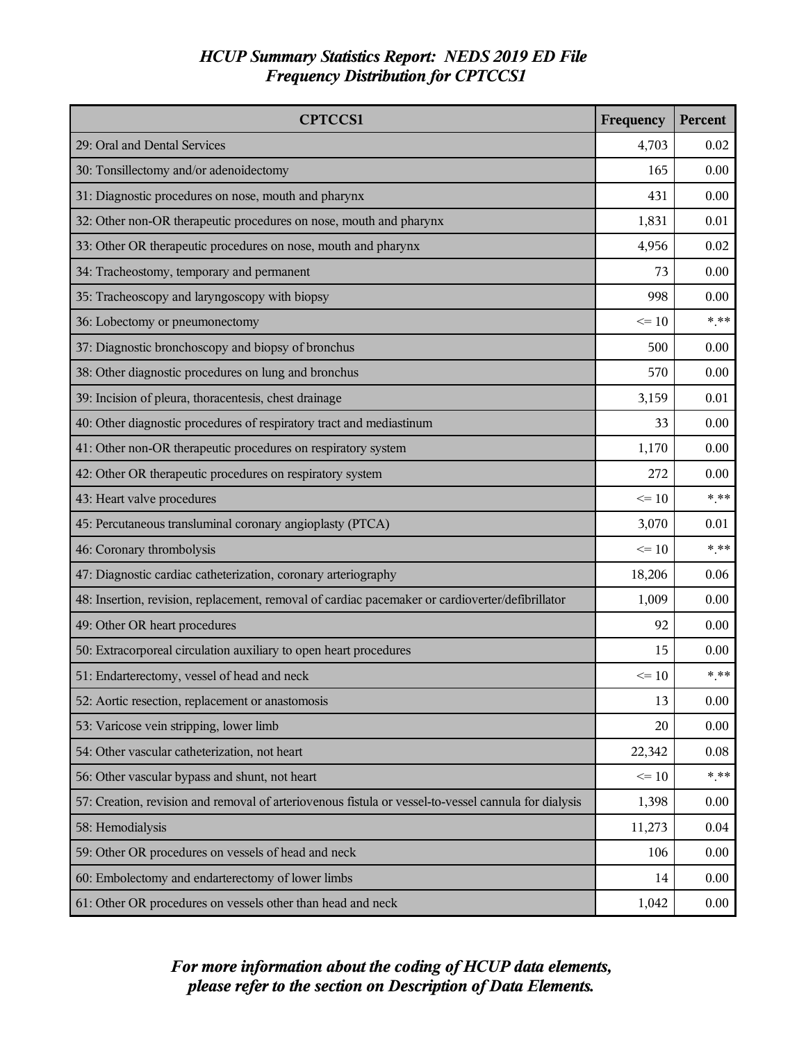| <b>CPTCCS1</b>                                                                                       | Frequency | Percent |
|------------------------------------------------------------------------------------------------------|-----------|---------|
| 29: Oral and Dental Services                                                                         | 4,703     | 0.02    |
| 30: Tonsillectomy and/or adenoidectomy                                                               | 165       | 0.00    |
| 31: Diagnostic procedures on nose, mouth and pharynx                                                 | 431       | 0.00    |
| 32: Other non-OR therapeutic procedures on nose, mouth and pharynx                                   | 1,831     | 0.01    |
| 33: Other OR therapeutic procedures on nose, mouth and pharynx                                       | 4,956     | 0.02    |
| 34: Tracheostomy, temporary and permanent                                                            | 73        | 0.00    |
| 35: Tracheoscopy and laryngoscopy with biopsy                                                        | 998       | 0.00    |
| 36: Lobectomy or pneumonectomy                                                                       | $\leq 10$ | $* * *$ |
| 37: Diagnostic bronchoscopy and biopsy of bronchus                                                   | 500       | 0.00    |
| 38: Other diagnostic procedures on lung and bronchus                                                 | 570       | 0.00    |
| 39: Incision of pleura, thoracentesis, chest drainage                                                | 3,159     | 0.01    |
| 40: Other diagnostic procedures of respiratory tract and mediastinum                                 | 33        | 0.00    |
| 41: Other non-OR therapeutic procedures on respiratory system                                        | 1,170     | 0.00    |
| 42: Other OR therapeutic procedures on respiratory system                                            | 272       | 0.00    |
| 43: Heart valve procedures                                                                           | $\leq 10$ | $* * *$ |
| 45: Percutaneous transluminal coronary angioplasty (PTCA)                                            | 3,070     | 0.01    |
| 46: Coronary thrombolysis                                                                            | $\leq 10$ | $* * *$ |
| 47: Diagnostic cardiac catheterization, coronary arteriography                                       | 18,206    | 0.06    |
| 48: Insertion, revision, replacement, removal of cardiac pacemaker or cardioverter/defibrillator     | 1,009     | 0.00    |
| 49: Other OR heart procedures                                                                        | 92        | 0.00    |
| 50: Extracorporeal circulation auxiliary to open heart procedures                                    | 15        | 0.00    |
| 51: Endarterectomy, vessel of head and neck                                                          | $\leq 10$ | $***$   |
| 52: Aortic resection, replacement or anastomosis                                                     | 13        | 0.00    |
| 53: Varicose vein stripping, lower limb                                                              | 20        | 0.00    |
| 54: Other vascular catheterization, not heart                                                        | 22,342    | 0.08    |
| 56: Other vascular bypass and shunt, not heart                                                       | $\leq 10$ | $***$   |
| 57: Creation, revision and removal of arteriovenous fistula or vessel-to-vessel cannula for dialysis | 1,398     | 0.00    |
| 58: Hemodialysis                                                                                     | 11,273    | 0.04    |
| 59: Other OR procedures on vessels of head and neck                                                  | 106       | 0.00    |
| 60: Embolectomy and endarterectomy of lower limbs                                                    | 14        | 0.00    |
| 61: Other OR procedures on vessels other than head and neck                                          | 1,042     | 0.00    |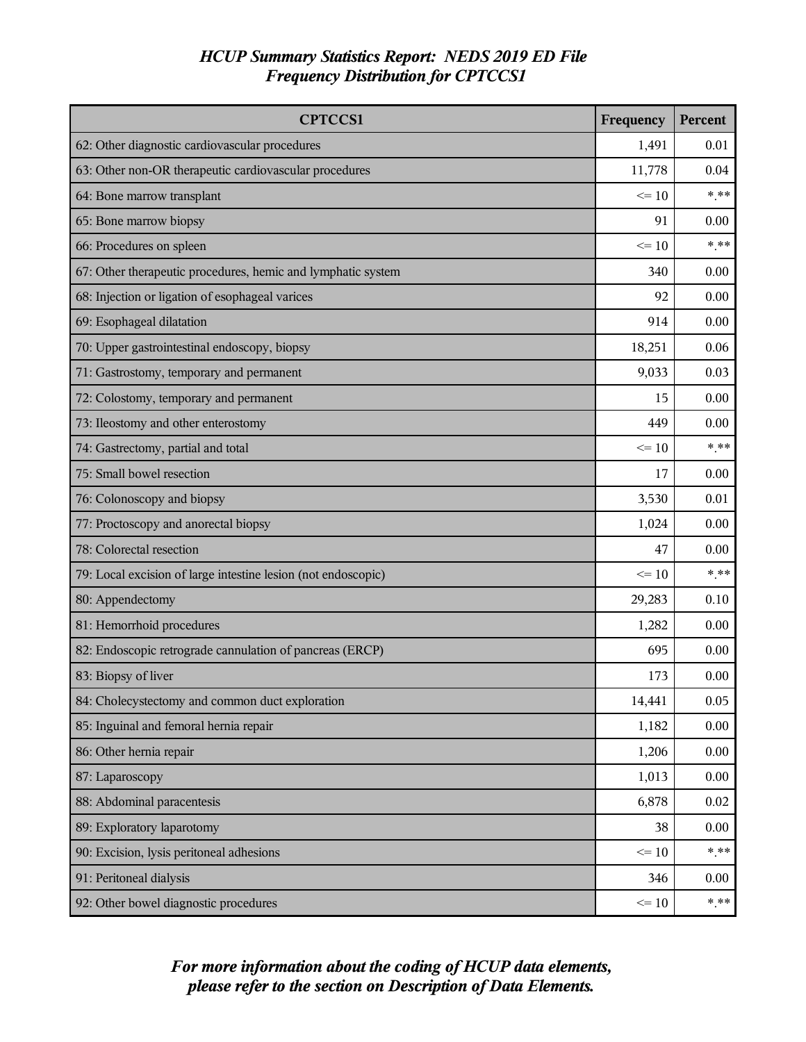| <b>CPTCCS1</b>                                                | Frequency | Percent |
|---------------------------------------------------------------|-----------|---------|
| 62: Other diagnostic cardiovascular procedures                | 1,491     | 0.01    |
| 63: Other non-OR therapeutic cardiovascular procedures        | 11,778    | 0.04    |
| 64: Bone marrow transplant                                    | $\leq 10$ | $* * *$ |
| 65: Bone marrow biopsy                                        |           | 0.00    |
| 66: Procedures on spleen                                      | $\leq 10$ | $*$ **  |
| 67: Other therapeutic procedures, hemic and lymphatic system  | 340       | 0.00    |
| 68: Injection or ligation of esophageal varices               | 92        | 0.00    |
| 69: Esophageal dilatation                                     | 914       | 0.00    |
| 70: Upper gastrointestinal endoscopy, biopsy                  | 18,251    | 0.06    |
| 71: Gastrostomy, temporary and permanent                      | 9,033     | 0.03    |
| 72: Colostomy, temporary and permanent                        | 15        | 0.00    |
| 73: Ileostomy and other enterostomy                           | 449       | 0.00    |
| 74: Gastrectomy, partial and total                            | $\leq 10$ | $* * *$ |
| 75: Small bowel resection                                     | 17        | 0.00    |
| 76: Colonoscopy and biopsy                                    | 3,530     | 0.01    |
| 77: Proctoscopy and anorectal biopsy                          | 1,024     | 0.00    |
| 78: Colorectal resection                                      | 47        | 0.00    |
| 79: Local excision of large intestine lesion (not endoscopic) |           | $*$ **  |
| 80: Appendectomy                                              | 29,283    | 0.10    |
| 81: Hemorrhoid procedures                                     | 1,282     | 0.00    |
| 82: Endoscopic retrograde cannulation of pancreas (ERCP)      | 695       | 0.00    |
| 83: Biopsy of liver                                           | 173       | 0.00    |
| 84: Cholecystectomy and common duct exploration               | 14,441    | 0.05    |
| 85: Inguinal and femoral hernia repair                        | 1,182     | 0.00    |
| 86: Other hernia repair                                       | 1,206     | 0.00    |
| 87: Laparoscopy                                               | 1,013     | 0.00    |
| 88: Abdominal paracentesis                                    |           | 0.02    |
| 89: Exploratory laparotomy                                    |           | 0.00    |
| 90: Excision, lysis peritoneal adhesions                      |           | $***$   |
| 91: Peritoneal dialysis                                       |           | 0.00    |
| 92: Other bowel diagnostic procedures                         | $\leq 10$ | $* * *$ |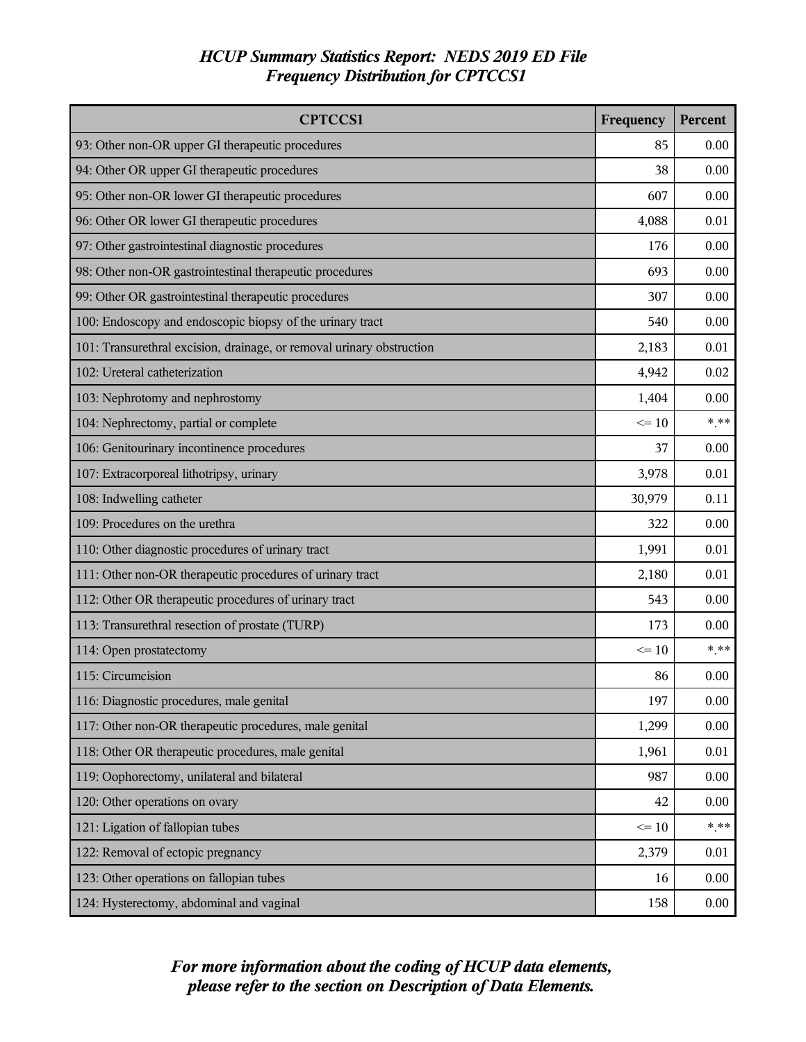| <b>CPTCCS1</b>                                                        | Frequency | Percent |
|-----------------------------------------------------------------------|-----------|---------|
| 93: Other non-OR upper GI therapeutic procedures                      | 85        | 0.00    |
| 94: Other OR upper GI therapeutic procedures                          | 38        | 0.00    |
| 95: Other non-OR lower GI therapeutic procedures                      | 607       | 0.00    |
| 96: Other OR lower GI therapeutic procedures                          |           | 0.01    |
| 97: Other gastrointestinal diagnostic procedures                      | 176       | 0.00    |
| 98: Other non-OR gastrointestinal therapeutic procedures              | 693       | 0.00    |
| 99: Other OR gastrointestinal therapeutic procedures                  | 307       | 0.00    |
| 100: Endoscopy and endoscopic biopsy of the urinary tract             | 540       | 0.00    |
| 101: Transurethral excision, drainage, or removal urinary obstruction | 2,183     | 0.01    |
| 102: Ureteral catheterization                                         | 4,942     | 0.02    |
| 103: Nephrotomy and nephrostomy                                       | 1,404     | 0.00    |
| 104: Nephrectomy, partial or complete                                 | $\leq 10$ | $* * *$ |
| 106: Genitourinary incontinence procedures                            | 37        | 0.00    |
| 107: Extracorporeal lithotripsy, urinary                              | 3,978     | 0.01    |
| 108: Indwelling catheter                                              | 30,979    | 0.11    |
| 109: Procedures on the urethra                                        | 322       | 0.00    |
| 110: Other diagnostic procedures of urinary tract                     | 1,991     | 0.01    |
| 111: Other non-OR therapeutic procedures of urinary tract             |           | 0.01    |
| 112: Other OR therapeutic procedures of urinary tract                 | 543       | 0.00    |
| 113: Transurethral resection of prostate (TURP)                       | 173       | 0.00    |
| 114: Open prostatectomy                                               | $\leq 10$ | $***$   |
| 115: Circumcision                                                     | 86        | 0.00    |
| 116: Diagnostic procedures, male genital                              | 197       | 0.00    |
| 117: Other non-OR therapeutic procedures, male genital                | 1,299     | 0.00    |
| 118: Other OR therapeutic procedures, male genital                    | 1,961     | 0.01    |
| 119: Oophorectomy, unilateral and bilateral                           |           | 0.00    |
| 120: Other operations on ovary                                        |           | 0.00    |
| 121: Ligation of fallopian tubes                                      |           | $***$   |
| 122: Removal of ectopic pregnancy                                     |           | 0.01    |
| 123: Other operations on fallopian tubes                              |           | 0.00    |
| 124: Hysterectomy, abdominal and vaginal                              | 158       | 0.00    |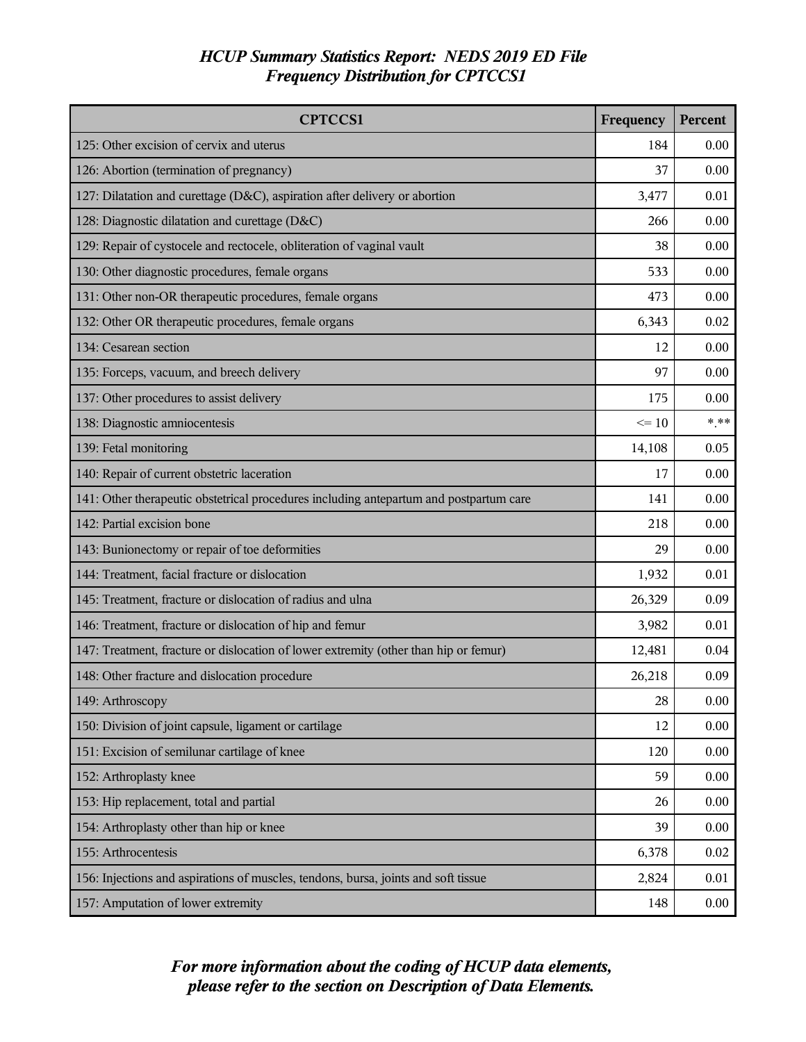| <b>CPTCCS1</b>                                                                         | Frequency | Percent |
|----------------------------------------------------------------------------------------|-----------|---------|
| 125: Other excision of cervix and uterus                                               | 184       | 0.00    |
| 126: Abortion (termination of pregnancy)                                               | 37        | 0.00    |
| 127: Dilatation and curettage (D&C), aspiration after delivery or abortion             | 3,477     | 0.01    |
| 128: Diagnostic dilatation and curettage (D&C)                                         | 266       | 0.00    |
| 129: Repair of cystocele and rectocele, obliteration of vaginal vault                  | 38        | 0.00    |
| 130: Other diagnostic procedures, female organs                                        | 533       | 0.00    |
| 131: Other non-OR therapeutic procedures, female organs                                | 473       | 0.00    |
| 132: Other OR therapeutic procedures, female organs                                    | 6,343     | 0.02    |
| 134: Cesarean section                                                                  | 12        | 0.00    |
| 135: Forceps, vacuum, and breech delivery                                              | 97        | 0.00    |
| 137: Other procedures to assist delivery                                               | 175       | 0.00    |
| 138: Diagnostic amniocentesis                                                          | $\leq$ 10 | $***$   |
| 139: Fetal monitoring                                                                  | 14,108    | 0.05    |
| 140: Repair of current obstetric laceration                                            | 17        | 0.00    |
| 141: Other therapeutic obstetrical procedures including antepartum and postpartum care | 141       | 0.00    |
| 142: Partial excision bone                                                             | 218       | 0.00    |
| 143: Bunionectomy or repair of toe deformities                                         | 29        | 0.00    |
| 144: Treatment, facial fracture or dislocation                                         | 1,932     | 0.01    |
| 145: Treatment, fracture or dislocation of radius and ulna                             | 26,329    | 0.09    |
| 146: Treatment, fracture or dislocation of hip and femur                               | 3,982     | 0.01    |
| 147: Treatment, fracture or dislocation of lower extremity (other than hip or femur)   | 12,481    | 0.04    |
| 148: Other fracture and dislocation procedure                                          | 26,218    | 0.09    |
| 149: Arthroscopy                                                                       | 28        | 0.00    |
| 150: Division of joint capsule, ligament or cartilage                                  | 12        | 0.00    |
| 151: Excision of semilunar cartilage of knee                                           | 120       | 0.00    |
| 152: Arthroplasty knee                                                                 | 59        | 0.00    |
| 153: Hip replacement, total and partial                                                | 26        | 0.00    |
| 154: Arthroplasty other than hip or knee                                               | 39        | 0.00    |
| 155: Arthrocentesis                                                                    | 6,378     | 0.02    |
| 156: Injections and aspirations of muscles, tendons, bursa, joints and soft tissue     | 2,824     | 0.01    |
| 157: Amputation of lower extremity                                                     | 148       | 0.00    |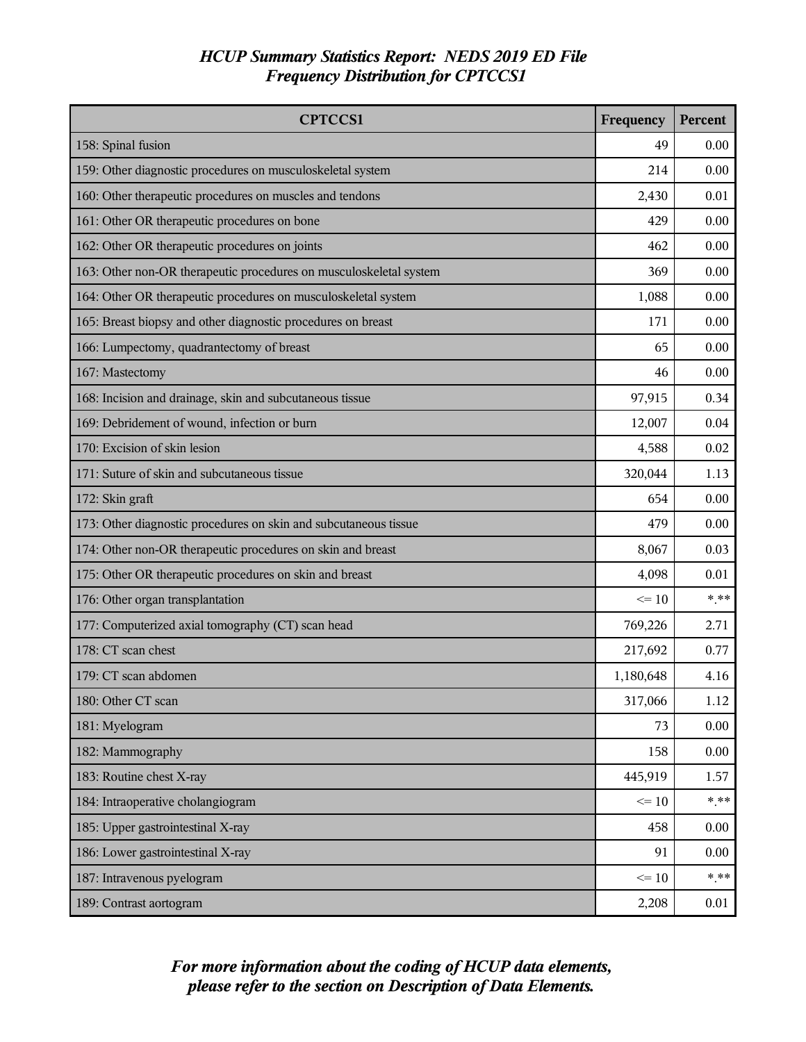| <b>CPTCCS1</b>                                                     | Frequency | Percent |
|--------------------------------------------------------------------|-----------|---------|
| 158: Spinal fusion                                                 | 49        | 0.00    |
| 159: Other diagnostic procedures on musculoskeletal system         | 214       | 0.00    |
| 160: Other therapeutic procedures on muscles and tendons           | 2,430     | 0.01    |
| 161: Other OR therapeutic procedures on bone                       | 429       | 0.00    |
| 162: Other OR therapeutic procedures on joints                     |           | 0.00    |
| 163: Other non-OR therapeutic procedures on musculoskeletal system | 369       | 0.00    |
| 164: Other OR therapeutic procedures on musculoskeletal system     | 1,088     | 0.00    |
| 165: Breast biopsy and other diagnostic procedures on breast       | 171       | 0.00    |
| 166: Lumpectomy, quadrantectomy of breast                          | 65        | 0.00    |
| 167: Mastectomy                                                    | 46        | 0.00    |
| 168: Incision and drainage, skin and subcutaneous tissue           | 97,915    | 0.34    |
| 169: Debridement of wound, infection or burn                       | 12,007    | 0.04    |
| 170: Excision of skin lesion                                       | 4,588     | 0.02    |
| 171: Suture of skin and subcutaneous tissue                        | 320,044   | 1.13    |
| 172: Skin graft                                                    | 654       | 0.00    |
| 173: Other diagnostic procedures on skin and subcutaneous tissue   | 479       | 0.00    |
| 174: Other non-OR therapeutic procedures on skin and breast        |           | 0.03    |
| 175: Other OR therapeutic procedures on skin and breast            |           | 0.01    |
| 176: Other organ transplantation                                   | $\leq 10$ | $***$   |
| 177: Computerized axial tomography (CT) scan head                  | 769,226   | 2.71    |
| 178: CT scan chest                                                 | 217,692   | 0.77    |
| 179: CT scan abdomen                                               | 1,180,648 | 4.16    |
| 180: Other CT scan                                                 | 317,066   | 1.12    |
| 181: Myelogram                                                     | 73        | 0.00    |
| 182: Mammography                                                   | 158       | 0.00    |
| 183: Routine chest X-ray                                           | 445,919   | 1.57    |
| 184: Intraoperative cholangiogram                                  |           | $***$   |
| 185: Upper gastrointestinal X-ray                                  |           | 0.00    |
| 186: Lower gastrointestinal X-ray                                  | 91        | 0.00    |
| 187: Intravenous pyelogram                                         | $\leq 10$ | $***$   |
| 189: Contrast aortogram                                            | 2,208     | 0.01    |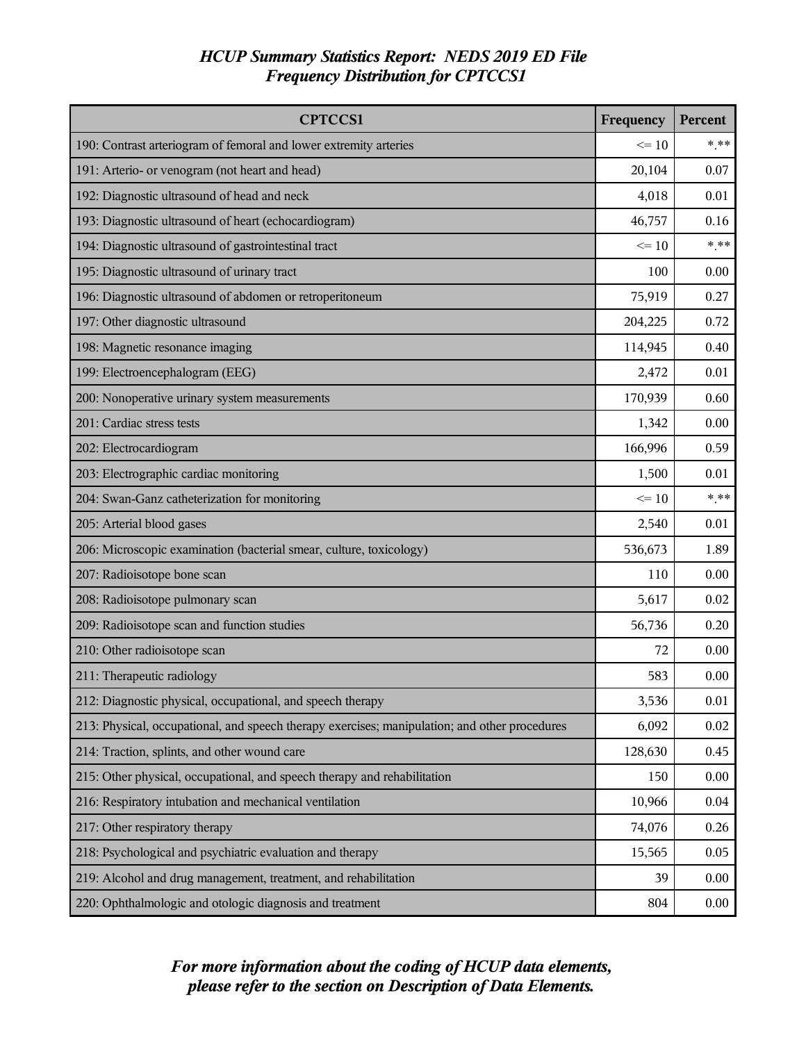| <b>CPTCCS1</b>                                                                                | Frequency | Percent  |
|-----------------------------------------------------------------------------------------------|-----------|----------|
| 190: Contrast arteriogram of femoral and lower extremity arteries                             | $\leq 10$ | $***$    |
| 191: Arterio- or venogram (not heart and head)                                                | 20,104    | 0.07     |
| 192: Diagnostic ultrasound of head and neck                                                   | 4,018     | 0.01     |
| 193: Diagnostic ultrasound of heart (echocardiogram)                                          | 46,757    | 0.16     |
| 194: Diagnostic ultrasound of gastrointestinal tract                                          | $\leq 10$ | $***$    |
| 195: Diagnostic ultrasound of urinary tract                                                   | 100       | 0.00     |
| 196: Diagnostic ultrasound of abdomen or retroperitoneum                                      | 75,919    | 0.27     |
| 197: Other diagnostic ultrasound                                                              | 204,225   | 0.72     |
| 198: Magnetic resonance imaging                                                               | 114,945   | 0.40     |
| 199: Electroencephalogram (EEG)                                                               | 2,472     | 0.01     |
| 200: Nonoperative urinary system measurements                                                 | 170,939   | 0.60     |
| 201: Cardiac stress tests                                                                     | 1,342     | 0.00     |
| 202: Electrocardiogram                                                                        | 166,996   | 0.59     |
| 203: Electrographic cardiac monitoring                                                        | 1,500     | 0.01     |
| 204: Swan-Ganz catheterization for monitoring                                                 | $\leq 10$ | $*$ **   |
| 205: Arterial blood gases                                                                     | 2,540     | 0.01     |
| 206: Microscopic examination (bacterial smear, culture, toxicology)                           | 536,673   | 1.89     |
| 207: Radioisotope bone scan                                                                   | 110       | 0.00     |
| 208: Radioisotope pulmonary scan                                                              | 5,617     | 0.02     |
| 209: Radioisotope scan and function studies                                                   | 56,736    | 0.20     |
| 210: Other radioisotope scan                                                                  | 72        | 0.00     |
| 211: Therapeutic radiology                                                                    | 583       | 0.00     |
| 212: Diagnostic physical, occupational, and speech therapy                                    | 3,536     | $0.01\,$ |
| 213: Physical, occupational, and speech therapy exercises; manipulation; and other procedures | 6,092     | $0.02\,$ |
| 214: Traction, splints, and other wound care                                                  | 128,630   | 0.45     |
| 215: Other physical, occupational, and speech therapy and rehabilitation                      | 150       | 0.00     |
| 216: Respiratory intubation and mechanical ventilation                                        | 10,966    | 0.04     |
| 217: Other respiratory therapy                                                                | 74,076    | 0.26     |
| 218: Psychological and psychiatric evaluation and therapy                                     | 15,565    | 0.05     |
| 219: Alcohol and drug management, treatment, and rehabilitation                               | 39        | 0.00     |
| 220: Ophthalmologic and otologic diagnosis and treatment                                      | 804       | 0.00     |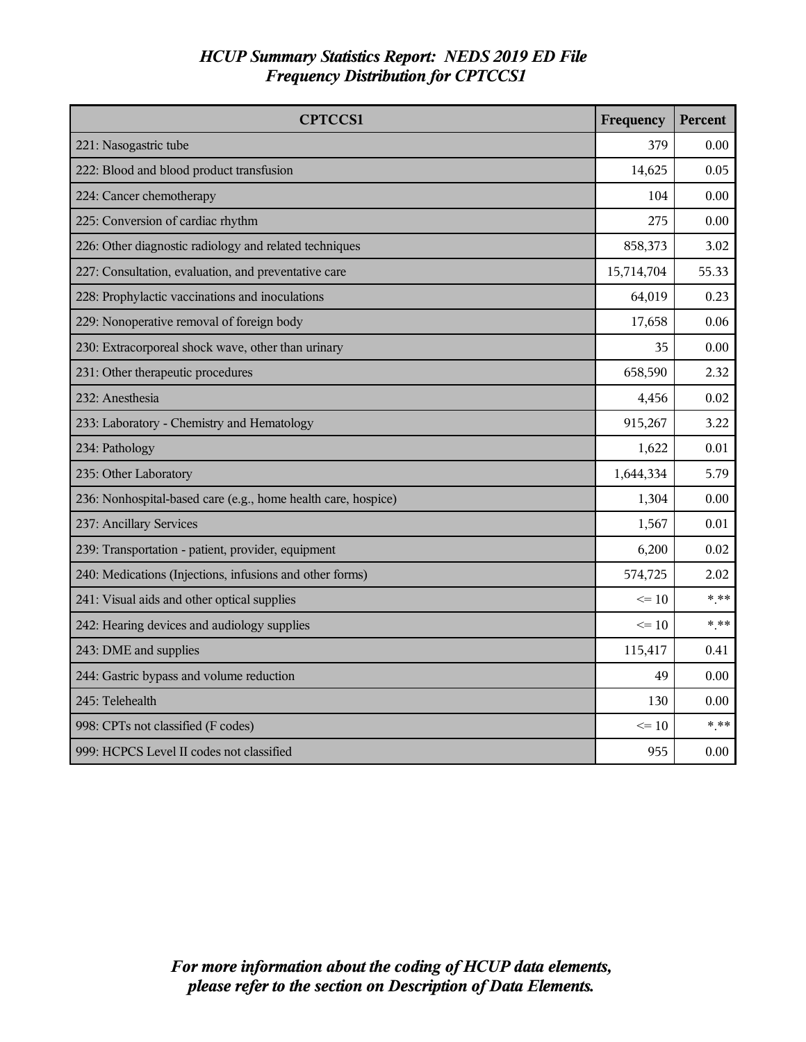| <b>CPTCCS1</b>                                                | Frequency  | Percent |
|---------------------------------------------------------------|------------|---------|
| 221: Nasogastric tube                                         | 379        | 0.00    |
| 222: Blood and blood product transfusion                      | 14,625     | 0.05    |
| 224: Cancer chemotherapy                                      | 104        | 0.00    |
| 225: Conversion of cardiac rhythm                             | 275        | 0.00    |
| 226: Other diagnostic radiology and related techniques        | 858,373    | 3.02    |
| 227: Consultation, evaluation, and preventative care          | 15,714,704 | 55.33   |
| 228: Prophylactic vaccinations and inoculations               | 64,019     | 0.23    |
| 229: Nonoperative removal of foreign body                     | 17,658     | 0.06    |
| 230: Extracorporeal shock wave, other than urinary            | 35         | 0.00    |
| 231: Other therapeutic procedures                             | 658,590    | 2.32    |
| 232: Anesthesia                                               | 4,456      | 0.02    |
| 233: Laboratory - Chemistry and Hematology                    | 915,267    | 3.22    |
| 234: Pathology                                                | 1,622      | 0.01    |
| 235: Other Laboratory                                         | 1,644,334  | 5.79    |
| 236: Nonhospital-based care (e.g., home health care, hospice) | 1,304      | 0.00    |
| 237: Ancillary Services                                       | 1,567      | 0.01    |
| 239: Transportation - patient, provider, equipment            | 6,200      | 0.02    |
| 240: Medications (Injections, infusions and other forms)      | 574,725    | 2.02    |
| 241: Visual aids and other optical supplies                   | $\leq 10$  | * **    |
| 242: Hearing devices and audiology supplies                   | $\leq 10$  | * **    |
| 243: DME and supplies                                         | 115,417    | 0.41    |
| 244: Gastric bypass and volume reduction                      | 49         | 0.00    |
| 245: Telehealth                                               | 130        | 0.00    |
| 998: CPTs not classified (F codes)                            | $\leq 10$  | $***$   |
| 999: HCPCS Level II codes not classified                      | 955        | 0.00    |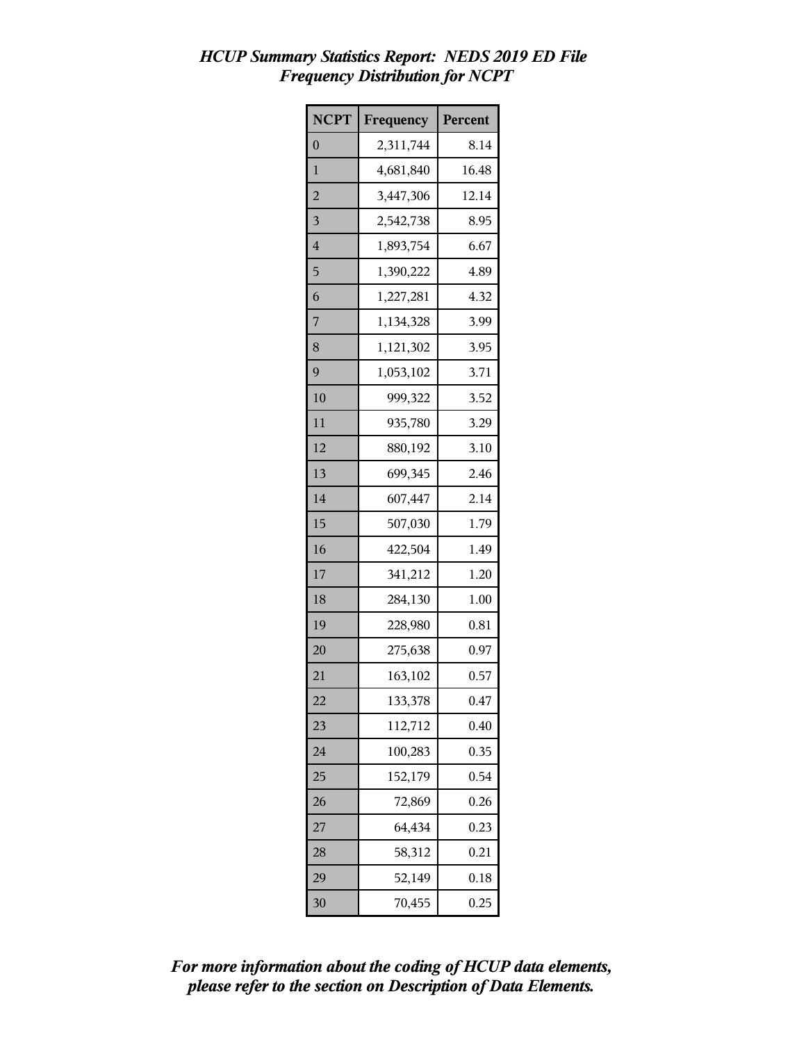| <b>NCPT</b>    | Frequency | Percent |
|----------------|-----------|---------|
| $\overline{0}$ | 2,311,744 | 8.14    |
| 1              | 4,681,840 | 16.48   |
| $\overline{2}$ | 3,447,306 | 12.14   |
| 3              | 2,542,738 | 8.95    |
| 4              | 1,893,754 | 6.67    |
| 5              | 1,390,222 | 4.89    |
| 6              | 1,227,281 | 4.32    |
| 7              | 1,134,328 | 3.99    |
| 8              | 1,121,302 | 3.95    |
| 9              | 1,053,102 | 3.71    |
| 10             | 999,322   | 3.52    |
| 11             | 935,780   | 3.29    |
| 12             | 880,192   | 3.10    |
| 13             | 699,345   | 2.46    |
| 14             | 607,447   | 2.14    |
| 15             | 507,030   | 1.79    |
| 16             | 422,504   | 1.49    |
| 17             | 341,212   | 1.20    |
| 18             | 284,130   | 1.00    |
| 19             | 228,980   | 0.81    |
| 20             | 275,638   | 0.97    |
| 21             | 163,102   | 0.57    |
| 22             | 133,378   | 0.47    |
| 23             | 112,712   | 0.40    |
| 24             | 100,283   | 0.35    |
| 25             | 152,179   | 0.54    |
| 26             | 72,869    | 0.26    |
| 27             | 64,434    | 0.23    |
| 28             | 58,312    | 0.21    |
| 29             | 52,149    | 0.18    |
| 30             | 70,455    | 0.25    |